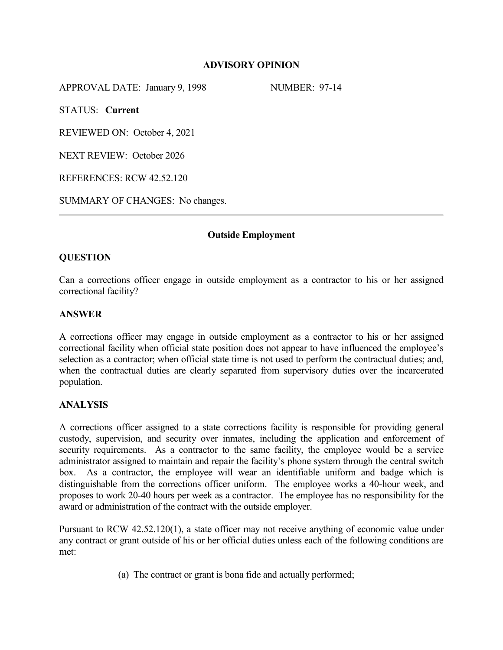## **ADVISORY OPINION**

APPROVAL DATE: January 9, 1998 NUMBER: 97-14

STATUS: **Current**

REVIEWED ON: October 4, 2021

NEXT REVIEW: October 2026

REFERENCES: RCW 42.52.120

SUMMARY OF CHANGES: No changes.

## **Outside Employment**

# **QUESTION**

Can a corrections officer engage in outside employment as a contractor to his or her assigned correctional facility?

## **ANSWER**

A corrections officer may engage in outside employment as a contractor to his or her assigned correctional facility when official state position does not appear to have influenced the employee's selection as a contractor; when official state time is not used to perform the contractual duties; and, when the contractual duties are clearly separated from supervisory duties over the incarcerated population.

## **ANALYSIS**

A corrections officer assigned to a state corrections facility is responsible for providing general custody, supervision, and security over inmates, including the application and enforcement of security requirements. As a contractor to the same facility, the employee would be a service administrator assigned to maintain and repair the facility's phone system through the central switch box. As a contractor, the employee will wear an identifiable uniform and badge which is distinguishable from the corrections officer uniform. The employee works a 40-hour week, and proposes to work 20-40 hours per week as a contractor. The employee has no responsibility for the award or administration of the contract with the outside employer.

Pursuant to RCW 42.52.120(1), a state officer may not receive anything of economic value under any contract or grant outside of his or her official duties unless each of the following conditions are met:

(a) The contract or grant is bona fide and actually performed;